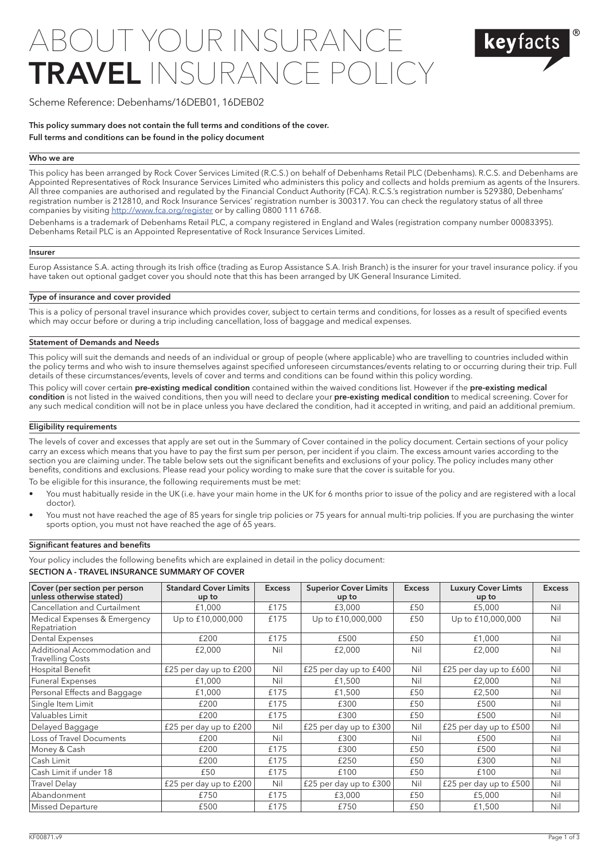# OUT YOUR INSURA TRAVEL INSURANC



# Scheme Reference: Debenhams/16DEB01, 16DEB02

This policy summary does not contain the full terms and conditions of the cover.

## Full terms and conditions can be found in the policy document

# Who we are

This policy has been arranged by Rock Cover Services Limited (R.C.S.) on behalf of Debenhams Retail PLC (Debenhams). R.C.S. and Debenhams are Appointed Representatives of Rock Insurance Services Limited who administers this policy and collects and holds premium as agents of the Insurers. All three companies are authorised and regulated by the Financial Conduct Authority (FCA). R.C.S.'s registration number is 529380, Debenhams' registration number is 212810, and Rock Insurance Services' registration number is 300317. You can check the regulatory status of all three companies by visiting<http://www.fca.org/register> or by calling 0800 111 6768.

Debenhams is a trademark of Debenhams Retail PLC, a company registered in England and Wales (registration company number 00083395). Debenhams Retail PLC is an Appointed Representative of Rock Insurance Services Limited.

## Insurer

Europ Assistance S.A. acting through its Irish office (trading as Europ Assistance S.A. Irish Branch) is the insurer for your travel insurance policy. if you have taken out optional gadget cover you should note that this has been arranged by UK General Insurance Limited.

# Type of insurance and cover provided

This is a policy of personal travel insurance which provides cover, subject to certain terms and conditions, for losses as a result of specified events which may occur before or during a trip including cancellation, loss of baggage and medical expenses.

# Statement of Demands and Needs

This policy will suit the demands and needs of an individual or group of people (where applicable) who are travelling to countries included within the policy terms and who wish to insure themselves against specified unforeseen circumstances/events relating to or occurring during their trip. Full details of these circumstances/events, levels of cover and terms and conditions can be found within this policy wording.

This policy will cover certain pre-existing medical condition contained within the waived conditions list. However if the pre-existing medical condition is not listed in the waived conditions, then you will need to declare your pre-existing medical condition to medical screening. Cover for any such medical condition will not be in place unless you have declared the condition, had it accepted in writing, and paid an additional premium.

### Eligibility requirements

The levels of cover and excesses that apply are set out in the Summary of Cover contained in the policy document. Certain sections of your policy carry an excess which means that you have to pay the first sum per person, per incident if you claim. The excess amount varies according to the section you are claiming under. The table below sets out the significant benefits and exclusions of your policy. The policy includes many other benefits, conditions and exclusions. Please read your policy wording to make sure that the cover is suitable for you.

To be eligible for this insurance, the following requirements must be met:

- You must habitually reside in the UK (i.e. have your main home in the UK for 6 months prior to issue of the policy and are registered with a local doctor).
- You must not have reached the age of 85 years for single trip policies or 75 years for annual multi-trip policies. If you are purchasing the winter sports option, you must not have reached the age of 65 years.

## Significant features and benefits

Your policy includes the following benefits which are explained in detail in the policy document:

### SECTION A - TRAVEL INSURANCE SUMMARY OF COVER

| Cover (per section per person<br>unless otherwise stated) | <b>Standard Cover Limits</b><br>up to | <b>Excess</b> | <b>Superior Cover Limits</b><br>up to | <b>Excess</b> | <b>Luxury Cover Limts</b><br>up to | <b>Excess</b> |
|-----------------------------------------------------------|---------------------------------------|---------------|---------------------------------------|---------------|------------------------------------|---------------|
| Cancellation and Curtailment                              | £1,000                                | £175          | £3,000                                | £50           | £5,000                             | Nil           |
| Medical Expenses & Emergency<br>Repatriation              | Up to £10,000,000                     | £175          | Up to £10,000,000                     | £50           | Up to £10,000,000                  | Nil           |
| Dental Expenses                                           | £200                                  | £175          | £500                                  | £50           | £1,000                             | Nil           |
| Additional Accommodation and<br><b>Travelling Costs</b>   | £2,000                                | Nil           | £2,000                                | Nil           | £2,000                             | Nil           |
| Hospital Benefit                                          | £25 per day up to £200                | Nil           | £25 per day up to £400                | Nil           | £25 per day up to £600             | Nil           |
| <b>Funeral Expenses</b>                                   | £1,000                                | Nil           | £1,500                                | Nil           | £2,000                             | Nil           |
| Personal Effects and Baggage                              | £1,000                                | £175          | £1,500                                | £50           | £2,500                             | Nil           |
| Single Item Limit                                         | £200                                  | £175          | £300                                  | £50           | £500                               | Nil           |
| Valuables Limit                                           | £200                                  | £175          | £300                                  | £50           | £500                               | Nil           |
| Delayed Baggage                                           | £25 per day up to £200                | Nil           | £25 per day up to £300                | Nil           | £25 per day up to £500             | Nil           |
| Loss of Travel Documents                                  | £200                                  | Nil           | £300                                  | Nil           | £500                               | Nil           |
| Money & Cash                                              | £200                                  | £175          | £300                                  | £50           | £500                               | Nil           |
| Cash Limit                                                | £200                                  | £175          | £250                                  | £50           | £300                               | Nil           |
| Cash Limit if under 18                                    | £50                                   | £175          | £100                                  | £50           | £100                               | Nil           |
| Travel Delay                                              | £25 per day up to £200                | Nil           | £25 per day up to $£300$              | Nil           | £25 per day up to £500             | Nil           |
| Abandonment                                               | £750                                  | £175          | £3,000                                | £50           | £5,000                             | Nil           |
| <b>Missed Departure</b>                                   | £500                                  | £175          | £750                                  | £50           | £1,500                             | Nil           |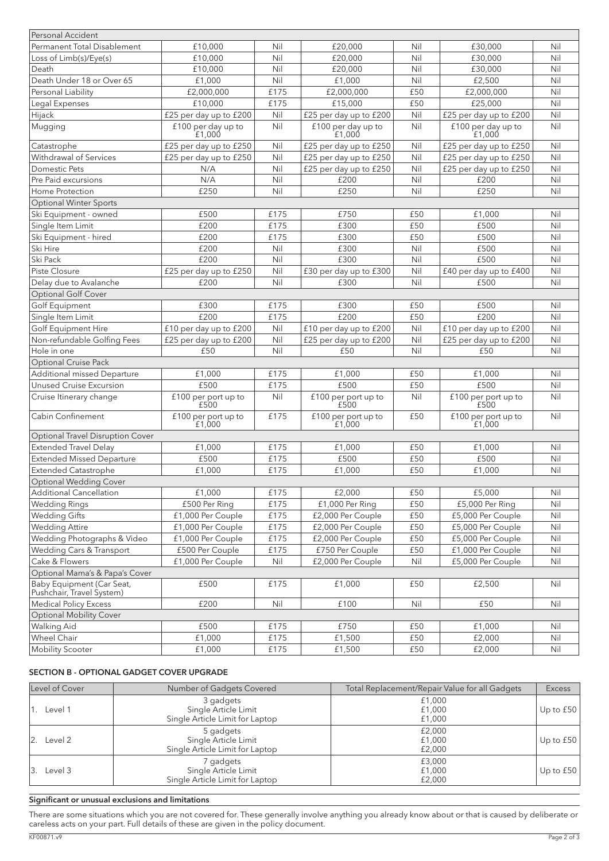| Personal Accident                                         |                               |      |                                       |     |                                 |     |
|-----------------------------------------------------------|-------------------------------|------|---------------------------------------|-----|---------------------------------|-----|
| <b>Permanent Total Disablement</b>                        | £10,000                       | Nil  | £20,000                               | Nil | £30,000                         | Nil |
| Loss of Limb(s)/Eye(s)                                    | £10,000                       | Nil  | £20,000                               | Nil | £30,000                         | Nil |
| Death                                                     | £10,000                       | Nil  | £20,000                               | Nil | £30,000                         | Nil |
| Death Under 18 or Over 65                                 | £1,000                        | Nil  | £1,000                                | Nil | £2,500                          | Nil |
| Personal Liability                                        | £2,000,000                    | £175 | £2,000,000                            | £50 | £2,000,000                      | Nil |
| Legal Expenses                                            | £10.000                       | £175 | £15,000                               | £50 | £25,000                         | Nil |
| Hijack                                                    | £25 per day up to £200        | Nil  | £25 per day up to £200                | Nil | £25 per day up to £200          | Nil |
| Mugging                                                   | £100 per day up to            | Nil  | £100 per day up to                    | Nil | £100 per day up to              | Nil |
|                                                           | £1.000                        |      | £1.000                                |     | £1.000                          |     |
| Catastrophe                                               | £25 per day up to £250        | Nil  | £25 per day up to £250                | Nil | £25 per day up to £250          | Nil |
| Withdrawal of Services                                    | £25 per day up to £250        | Nil  | $\overline{f25}$ per day up to $f250$ | Nil | £25 per day up to £250          | Nil |
| Domestic Pets                                             | N/A                           | Nil  | £25 per day up to £250                | Nil | £25 per day up to £250          | Nil |
| Pre Paid excursions                                       | N/A                           | Nil  | £200                                  | Nil | £200                            | Nil |
| Home Protection                                           | £250                          | Nil  | £250                                  | Nil | £250                            | Nil |
| <b>Optional Winter Sports</b>                             |                               |      |                                       |     |                                 |     |
| Ski Equipment - owned                                     | £500                          | £175 | £750                                  | £50 | £1,000                          | Nil |
| Single Item Limit                                         | £200                          | £175 | £300                                  | £50 | £500                            | Nil |
| Ski Equipment - hired                                     | £200                          | £175 | £300                                  | £50 | £500                            | Nil |
| Ski Hire                                                  | £200                          | Nil  | £300                                  | Nil | £500                            | Nil |
| Ski Pack                                                  | £200                          | Nil  | £300                                  | Nil | £500                            | Nil |
| Piste Closure                                             | £25 per day up to £250        | Nil  | £30 per day up to £300                | Nil | £40 per day up to £400          | Nil |
| Delay due to Avalanche                                    | £200                          | Nil  | £300                                  | Nil | £500                            | Nil |
| Optional Golf Cover                                       |                               |      |                                       |     |                                 |     |
| Golf Equipment                                            | £300                          | £175 | £300                                  | £50 | £500                            | Nil |
| Single Item Limit                                         | £200                          | £175 | £200                                  | £50 | £200                            | Nil |
| Golf Equipment Hire                                       | £10 per day up to £200        | Nil  | £10 per day up to £200                | Nil | £10 per day up to £200          | Nil |
| Non-refundable Golfing Fees                               | £25 per day up to £200        | Nil  | £25 per day up to £200                | Nil | £25 per day up to £200          | Nil |
| Hole in one                                               | £50                           | Nil  | £50                                   | Nil | £50                             | Nil |
| Optional Cruise Pack                                      |                               |      |                                       |     |                                 |     |
| Additional missed Departure                               | £1,000                        | £175 | £1,000                                | £50 | £1,000                          | Nil |
| Unused Cruise Excursion                                   | £500                          | £175 | £500                                  | £50 | £500                            | Nil |
| Cruise Itinerary change                                   | £100 per port up to           | Nil  | £100 per port up to                   | Nil | £100 per port up to             | Nil |
|                                                           | £500                          |      | £500                                  |     | £500                            |     |
| Cabin Confinement                                         | £100 per port up to<br>£1,000 | £175 | $£100$ per port up to $£1,000$        | £50 | $£100$ per port up to<br>£1,000 | Nil |
| <b>Optional Travel Disruption Cover</b>                   |                               |      |                                       |     |                                 |     |
| <b>Extended Travel Delay</b>                              | £1,000                        | £175 | £1,000                                | £50 | £1,000                          | Nil |
| <b>Extended Missed Departure</b>                          | £500                          | £175 | £500                                  | £50 | £500                            | Nil |
| <b>Extended Catastrophe</b>                               | £1,000                        | £175 | £1,000                                | £50 | £1,000                          | Nil |
| <b>Optional Wedding Cover</b>                             |                               |      |                                       |     |                                 |     |
| <b>Additional Cancellation</b>                            | £1,000                        | £175 | £2,000                                | £50 | £5,000                          | Nil |
| <b>Wedding Rings</b>                                      | £500 Per Ring                 | £175 | £1,000 Per Ring                       | £50 | £5,000 Per Ring                 | Nil |
| <b>Wedding Gifts</b>                                      | £1,000 Per Couple             | £175 | £2,000 Per Couple                     | £50 | £5,000 Per Couple               | Nil |
| <b>Wedding Attire</b>                                     | £1,000 Per Couple             | £175 | £2,000 Per Couple                     | £50 | £5,000 Per Couple               | Nil |
| Wedding Photographs & Video                               | £1,000 Per Couple             | £175 | £2,000 Per Couple                     | £50 | £5,000 Per Couple               | Nil |
| Wedding Cars & Transport                                  | £500 Per Couple               | £175 | £750 Per Couple                       | £50 | £1,000 Per Couple               | Nil |
| Cake & Flowers                                            | £1,000 Per Couple             | Nil  | £2,000 Per Couple                     | Nil | £5,000 Per Couple               | Nil |
| Optional Mama's & Papa's Cover                            |                               |      |                                       |     |                                 |     |
| Baby Equipment (Car Seat,                                 | £500                          | £175 | £1,000                                | £50 | £2,500                          | Nil |
| Pushchair, Travel System)<br><b>Medical Policy Excess</b> | £200                          | Nil  | £100                                  | Nil | £50                             | Nil |
| <b>Optional Mobility Cover</b>                            |                               |      |                                       |     |                                 |     |
| Walking Aid                                               | £500                          | £175 | £750                                  | £50 | £1,000                          | Nil |
| Wheel Chair                                               | £1,000                        | £175 | £1,500                                | £50 | £2,000                          | Nil |
| Mobility Scooter                                          |                               |      |                                       |     |                                 |     |
|                                                           | £1,000                        | £175 | £1,500                                | £50 | £2,000                          | Nil |

# SECTION B - OPTIONAL GADGET COVER UPGRADE

| Level of Cover           | Number of Gadgets Covered                                            | Total Replacement/Repair Value for all Gadgets | <b>Excess</b> |
|--------------------------|----------------------------------------------------------------------|------------------------------------------------|---------------|
| '1. Level 1              | 3 gadgets<br>Single Article Limit<br>Single Article Limit for Laptop | £1,000<br>£1,000<br>£1,000                     | Up to $£50$   |
| $\vert 2. \vert$ Level 2 | 5 gadgets<br>Single Article Limit<br>Single Article Limit for Laptop | £2,000<br>£1,000<br>£2,000                     | Up to $£50$   |
| 13.<br>Level 3           | 7 gadgets<br>Single Article Limit<br>Single Article Limit for Laptop | £3,000<br>£1,000<br>£2,000                     | Up to $£50$   |

# Significant or unusual exclusions and limitations

There are some situations which you are not covered for. These generally involve anything you already know about or that is caused by deliberate or careless acts on your part. Full details of these are given in the policy document.